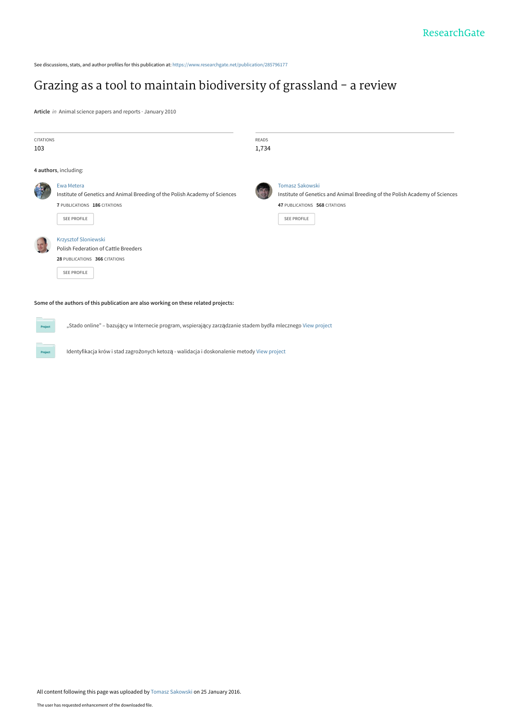See discussions, stats, and author profiles for this publication at: [https://www.researchgate.net/publication/285796177](https://www.researchgate.net/publication/285796177_Grazing_as_a_tool_to_maintain_biodiversity_of_grassland_-_a_review?enrichId=rgreq-344cf8ead395356e8d9f2fb96dd254d4-XXX&enrichSource=Y292ZXJQYWdlOzI4NTc5NjE3NztBUzozMjE3NjQzNTYyMzExNjlAMTQ1MzcyNjAwODI1Nw%3D%3D&el=1_x_2&_esc=publicationCoverPdf)

# [Grazing as a tool to maintain biodiversity of grassland - a review](https://www.researchgate.net/publication/285796177_Grazing_as_a_tool_to_maintain_biodiversity_of_grassland_-_a_review?enrichId=rgreq-344cf8ead395356e8d9f2fb96dd254d4-XXX&enrichSource=Y292ZXJQYWdlOzI4NTc5NjE3NztBUzozMjE3NjQzNTYyMzExNjlAMTQ1MzcyNjAwODI1Nw%3D%3D&el=1_x_3&_esc=publicationCoverPdf)

**Article** in Animal science papers and reports · January 2010

Project

| <b>CITATIONS</b>                                                                    |                                                                             | READS |                                                                             |
|-------------------------------------------------------------------------------------|-----------------------------------------------------------------------------|-------|-----------------------------------------------------------------------------|
| 103                                                                                 |                                                                             | 1,734 |                                                                             |
|                                                                                     | 4 authors, including:                                                       |       |                                                                             |
| 传奇                                                                                  | Ewa Metera                                                                  |       | <b>Tomasz Sakowski</b>                                                      |
|                                                                                     | Institute of Genetics and Animal Breeding of the Polish Academy of Sciences |       | Institute of Genetics and Animal Breeding of the Polish Academy of Sciences |
|                                                                                     | 7 PUBLICATIONS 186 CITATIONS                                                |       | 47 PUBLICATIONS 568 CITATIONS                                               |
|                                                                                     | <b>SEE PROFILE</b>                                                          |       | <b>SEE PROFILE</b>                                                          |
|                                                                                     | Krzysztof Sloniewski                                                        |       |                                                                             |
|                                                                                     | Polish Federation of Cattle Breeders                                        |       |                                                                             |
|                                                                                     | 28 PUBLICATIONS 366 CITATIONS                                               |       |                                                                             |
|                                                                                     | <b>SEE PROFILE</b>                                                          |       |                                                                             |
| Some of the authors of this publication are also working on these related projects: |                                                                             |       |                                                                             |

"Stado online" – bazujący w Internecie program, wspierający zarządzanie stadem bydła mlecznego [View project](https://www.researchgate.net/project/Stado-online-bazujacy-w-Internecie-program-wspierajacy-zarzadzanie-stadem-bydla-mlecznego?enrichId=rgreq-344cf8ead395356e8d9f2fb96dd254d4-XXX&enrichSource=Y292ZXJQYWdlOzI4NTc5NjE3NztBUzozMjE3NjQzNTYyMzExNjlAMTQ1MzcyNjAwODI1Nw%3D%3D&el=1_x_9&_esc=publicationCoverPdf)

Identyfikacja krów i stad zagrożonych ketozą - walidacja i doskonalenie metody [View project](https://www.researchgate.net/project/Identyfikacja-krow-i-stad-zagrozonych-ketoza-walidacja-i-doskonalenie-metody?enrichId=rgreq-344cf8ead395356e8d9f2fb96dd254d4-XXX&enrichSource=Y292ZXJQYWdlOzI4NTc5NjE3NztBUzozMjE3NjQzNTYyMzExNjlAMTQ1MzcyNjAwODI1Nw%3D%3D&el=1_x_9&_esc=publicationCoverPdf)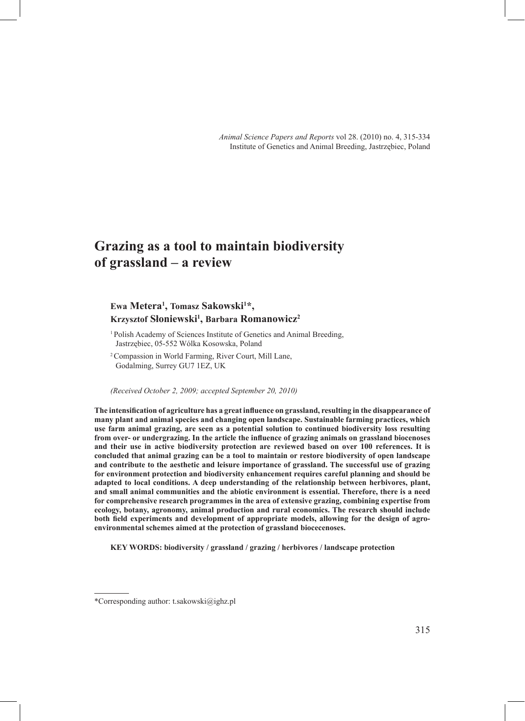*Animal Science Papers and Reports* vol 28. (2010) no. 4, 315-334 Institute of Genetics and Animal Breeding, Jastrzębiec, Poland

## **Grazing as a tool to maintain biodiversity of grassland – a review**

### **Ewa Metera1 , Tomasz Sakowski1 \*, Krzysztof Słoniewski<sup>1</sup> , Barbara Romanowicz2**

<sup>1</sup>Polish Academy of Sciences Institute of Genetics and Animal Breeding, Jastrzębiec, 05-552 Wólka Kosowska, Poland

<sup>2</sup>Compassion in World Farming, River Court, Mill Lane, Godalming, Surrey GU7 1EZ, UK

*(Received October 2, 2009; accepted September 20, 2010)*

**The intensification of agriculture has a great influence on grassland, resulting in the disappearance of many plant and animal species and changing open landscape. Sustainable farming practices, which use farm animal grazing, are seen as a potential solution to continued biodiversity loss resulting from over- or undergrazing. In the article the influence of grazing animals on grassland biocenoses and their use in active biodiversity protection are reviewed based on over 100 references. It is concluded that animal grazing can be a tool to maintain or restore biodiversity of open landscape and contribute to the aesthetic and leisure importance of grassland. The successful use of grazing for environment protection and biodiversity enhancement requires careful planning and should be adapted to local conditions. A deep understanding of the relationship between herbivores, plant, and small animal communities and the abiotic environment is essential. Therefore, there is a need for comprehensive research programmes in the area of extensive grazing, combining expertise from ecology, botany, agronomy, animal production and rural economics. The research should include both field experiments and development of appropriate models, allowing for the design of agroenvironmental schemes aimed at the protection of grassland biocecenoses.**

**KEY WORDS: biodiversity / grassland / grazing / herbivores / landscape protection** 

<sup>\*</sup>Corresponding author: t.sakowski@ighz.pl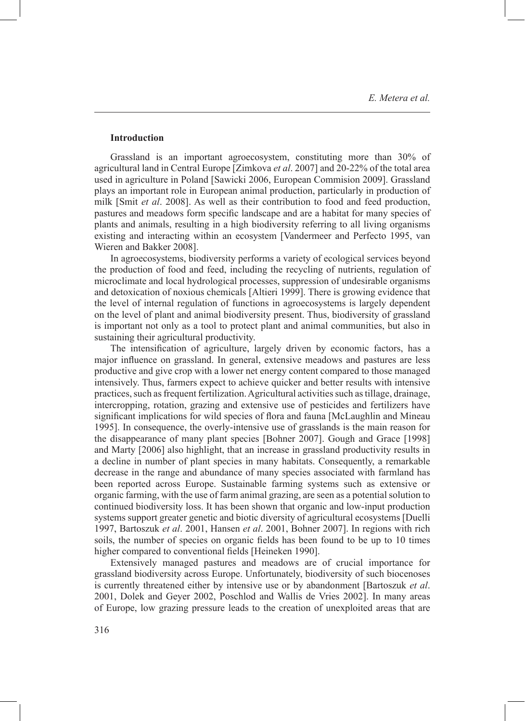#### **Introduction**

Grassland is an important agroecosystem, constituting more than 30% of agricultural land in Central Europe [Zimkova *et al*. 2007] and 20-22% of the total area used in agriculture in Poland [Sawicki 2006, European Commision 2009]. Grassland plays an important role in European animal production, particularly in production of milk [Smit *et al*. 2008]. As well as their contribution to food and feed production, pastures and meadows form specific landscape and are a habitat for many species of plants and animals, resulting in a high biodiversity referring to all living organisms existing and interacting within an ecosystem [Vandermeer and Perfecto 1995, van Wieren and Bakker 2008].

In agroecosystems, biodiversity performs a variety of ecological services beyond the production of food and feed, including the recycling of nutrients, regulation of microclimate and local hydrological processes, suppression of undesirable organisms and detoxication of noxious chemicals [Altieri 1999]. There is growing evidence that the level of internal regulation of functions in agroecosystems is largely dependent on the level of plant and animal biodiversity present. Thus, biodiversity of grassland is important not only as a tool to protect plant and animal communities, but also in sustaining their agricultural productivity.

The intensification of agriculture, largely driven by economic factors, has a major influence on grassland. In general, extensive meadows and pastures are less productive and give crop with a lower net energy content compared to those managed intensively. Thus, farmers expect to achieve quicker and better results with intensive practices, such as frequent fertilization. Agricultural activities such as tillage, drainage, intercropping, rotation, grazing and extensive use of pesticides and fertilizers have significant implications for wild species of flora and fauna [McLaughlin and Mineau 1995]. In consequence, the overly-intensive use of grasslands is the main reason for the disappearance of many plant species [Bohner 2007]. Gough and Grace [1998] and Marty [2006] also highlight, that an increase in grassland productivity results in a decline in number of plant species in many habitats. Consequently, a remarkable decrease in the range and abundance of many species associated with farmland has been reported across Europe. Sustainable farming systems such as extensive or organic farming, with the use of farm animal grazing, are seen as a potential solution to continued biodiversity loss. It has been shown that organic and low-input production systems support greater genetic and biotic diversity of agricultural ecosystems [Duelli 1997, Bartoszuk *et al*. 2001, Hansen *et al*. 2001, Bohner 2007]. In regions with rich soils, the number of species on organic fields has been found to be up to 10 times higher compared to conventional fields [Heineken 1990].

Extensively managed pastures and meadows are of crucial importance for grassland biodiversity across Europe. Unfortunately, biodiversity of such biocenoses is currently threatened either by intensive use or by abandonment [Bartoszuk *et al*. 2001, Dolek and Geyer 2002, Poschlod and Wallis de Vries 2002]. In many areas of Europe, low grazing pressure leads to the creation of unexploited areas that are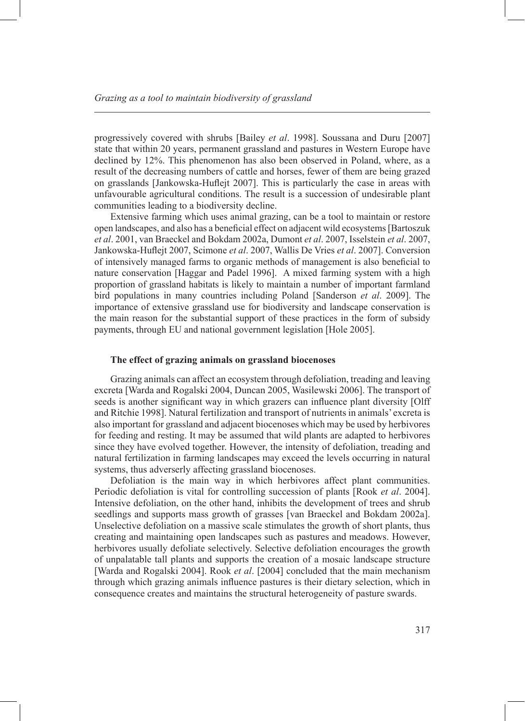progressively covered with shrubs [Bailey *et al*. 1998]. Soussana and Duru [2007] state that within 20 years, permanent grassland and pastures in Western Europe have declined by 12%. This phenomenon has also been observed in Poland, where, as a result of the decreasing numbers of cattle and horses, fewer of them are being grazed on grasslands [Jankowska-Huflejt 2007]. This is particularly the case in areas with unfavourable agricultural conditions. The result is a succession of undesirable plant communities leading to a biodiversity decline.

Extensive farming which uses animal grazing, can be a tool to maintain or restore open landscapes, and also has a beneficial effect on adjacent wild ecosystems [Bartoszuk *et al*. 2001, van Braeckel and Bokdam 2002a, Dumont *et al*. 2007, Isselstein *et al*. 2007, Jankowska-Huflejt 2007, Scimone *et al*. 2007, Wallis De Vries *et al*. 2007]. Conversion of intensively managed farms to organic methods of management is also beneficial to nature conservation [Haggar and Padel 1996]. A mixed farming system with a high proportion of grassland habitats is likely to maintain a number of important farmland bird populations in many countries including Poland [Sanderson *et al*. 2009]. The importance of extensive grassland use for biodiversity and landscape conservation is the main reason for the substantial support of these practices in the form of subsidy payments, through EU and national government legislation [Hole 2005].

#### **The effect of grazing animals on grassland biocenoses**

Grazing animals can affect an ecosystem through defoliation, treading and leaving excreta [Warda and Rogalski 2004, Duncan 2005, Wasilewski 2006]. The transport of seeds is another significant way in which grazers can influence plant diversity [Olff and Ritchie 1998]. Natural fertilization and transport of nutrients in animals' excreta is also important for grassland and adjacent biocenoses which may be used by herbivores for feeding and resting. It may be assumed that wild plants are adapted to herbivores since they have evolved together. However, the intensity of defoliation, treading and natural fertilization in farming landscapes may exceed the levels occurring in natural systems, thus adverserly affecting grassland biocenoses.

Defoliation is the main way in which herbivores affect plant communities. Periodic defoliation is vital for controlling succession of plants [Rook *et al*. 2004]. Intensive defoliation, on the other hand, inhibits the development of trees and shrub seedlings and supports mass growth of grasses [van Braeckel and Bokdam 2002a]. Unselective defoliation on a massive scale stimulates the growth of short plants, thus creating and maintaining open landscapes such as pastures and meadows. However, herbivores usually defoliate selectively. Selective defoliation encourages the growth of unpalatable tall plants and supports the creation of a mosaic landscape structure [Warda and Rogalski 2004]. Rook *et al*. [2004] concluded that the main mechanism through which grazing animals influence pastures is their dietary selection, which in consequence creates and maintains the structural heterogeneity of pasture swards.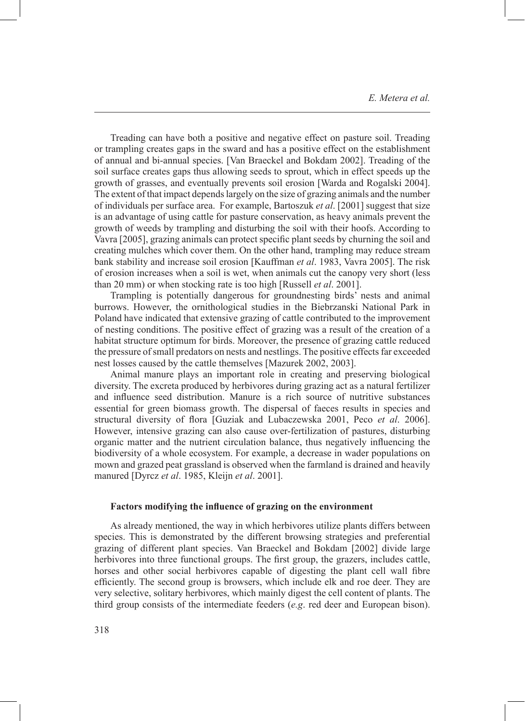Treading can have both a positive and negative effect on pasture soil. Treading or trampling creates gaps in the sward and has a positive effect on the establishment of annual and bi-annual species. [Van Braeckel and Bokdam 2002]. Treading of the soil surface creates gaps thus allowing seeds to sprout, which in effect speeds up the growth of grasses, and eventually prevents soil erosion [Warda and Rogalski 2004]. The extent of that impact depends largely on the size of grazing animals and the number of individuals per surface area. For example, Bartoszuk *et al*. [2001] suggest that size is an advantage of using cattle for pasture conservation, as heavy animals prevent the growth of weeds by trampling and disturbing the soil with their hoofs. According to Vavra [2005], grazing animals can protect specific plant seeds by churning the soil and creating mulches which cover them. On the other hand, trampling may reduce stream bank stability and increase soil erosion [Kauffman *et al*. 1983, Vavra 2005]. The risk of erosion increases when a soil is wet, when animals cut the canopy very short (less than 20 mm) or when stocking rate is too high [Russell *et al*. 2001].

Trampling is potentially dangerous for groundnesting birds' nests and animal burrows. However, the ornithological studies in the Biebrzanski National Park in Poland have indicated that extensive grazing of cattle contributed to the improvement of nesting conditions. The positive effect of grazing was a result of the creation of a habitat structure optimum for birds. Moreover, the presence of grazing cattle reduced the pressure of small predators on nests and nestlings. The positive effects far exceeded nest losses caused by the cattle themselves [Mazurek 2002, 2003].

Animal manure plays an important role in creating and preserving biological diversity. The excreta produced by herbivores during grazing act as a natural fertilizer and influence seed distribution. Manure is a rich source of nutritive substances essential for green biomass growth. The dispersal of faeces results in species and structural diversity of flora [Guziak and Lubaczewska 2001, Peco *et al*. 2006]. However, intensive grazing can also cause over-fertilization of pastures, disturbing organic matter and the nutrient circulation balance, thus negatively influencing the biodiversity of a whole ecosystem. For example, a decrease in wader populations on mown and grazed peat grassland is observed when the farmland is drained and heavily manured [Dyrcz *et al*. 1985, Kleijn *et al*. 2001].

#### **Factors modifying the influence of grazing on the environment**

As already mentioned, the way in which herbivores utilize plants differs between species. This is demonstrated by the different browsing strategies and preferential grazing of different plant species. Van Braeckel and Bokdam [2002] divide large herbivores into three functional groups. The first group, the grazers, includes cattle, horses and other social herbivores capable of digesting the plant cell wall fibre efficiently. The second group is browsers, which include elk and roe deer. They are very selective, solitary herbivores, which mainly digest the cell content of plants. The third group consists of the intermediate feeders (*e.g*. red deer and European bison).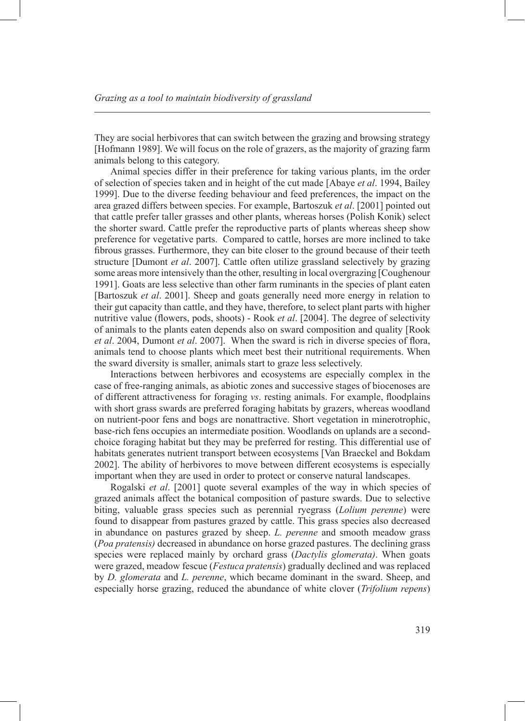They are social herbivores that can switch between the grazing and browsing strategy [Hofmann 1989]. We will focus on the role of grazers, as the majority of grazing farm animals belong to this category.

Animal species differ in their preference for taking various plants, im the order of selection of species taken and in height of the cut made [Abaye *et al*. 1994, Bailey 1999]. Due to the diverse feeding behaviour and feed preferences, the impact on the area grazed differs between species. For example, Bartoszuk *et al*. [2001] pointed out that cattle prefer taller grasses and other plants, whereas horses (Polish Konik) select the shorter sward. Cattle prefer the reproductive parts of plants whereas sheep show preference for vegetative parts. Compared to cattle, horses are more inclined to take fibrous grasses. Furthermore, they can bite closer to the ground because of their teeth structure [Dumont *et al*. 2007]. Cattle often utilize grassland selectively by grazing some areas more intensively than the other, resulting in local overgrazing [Coughenour 1991]. Goats are less selective than other farm ruminants in the species of plant eaten [Bartoszuk *et al*. 2001]. Sheep and goats generally need more energy in relation to their gut capacity than cattle, and they have, therefore, to select plant parts with higher nutritive value (flowers, pods, shoots) - Rook *et al*. [2004]. The degree of selectivity of animals to the plants eaten depends also on sward composition and quality [Rook *et al*. 2004, Dumont *et al*. 2007]. When the sward is rich in diverse species of flora, animals tend to choose plants which meet best their nutritional requirements. When the sward diversity is smaller, animals start to graze less selectively.

Interactions between herbivores and ecosystems are especially complex in the case of free-ranging animals, as abiotic zones and successive stages of biocenoses are of different attractiveness for foraging *vs*. resting animals. For example, floodplains with short grass swards are preferred foraging habitats by grazers, whereas woodland on nutrient-poor fens and bogs are nonattractive. Short vegetation in minerotrophic, base-rich fens occupies an intermediate position. Woodlands on uplands are a secondchoice foraging habitat but they may be preferred for resting. This differential use of habitats generates nutrient transport between ecosystems [Van Braeckel and Bokdam 2002]. The ability of herbivores to move between different ecosystems is especially important when they are used in order to protect or conserve natural landscapes.

Rogalski *et al*. [2001] quote several examples of the way in which species of grazed animals affect the botanical composition of pasture swards. Due to selective biting, valuable grass species such as perennial ryegrass (*Lolium perenne*) were found to disappear from pastures grazed by cattle. This grass species also decreased in abundance on pastures grazed by sheep. *L. perenne* and smooth meadow grass (*Poa pratensis)* decreased in abundance on horse grazed pastures. The declining grass species were replaced mainly by orchard grass (*Dactylis glomerata)*. When goats were grazed, meadow fescue (*Festuca pratensis*) gradually declined and was replaced by *D. glomerata* and *L. perenne*, which became dominant in the sward. Sheep, and especially horse grazing, reduced the abundance of white clover (*Trifolium repens*)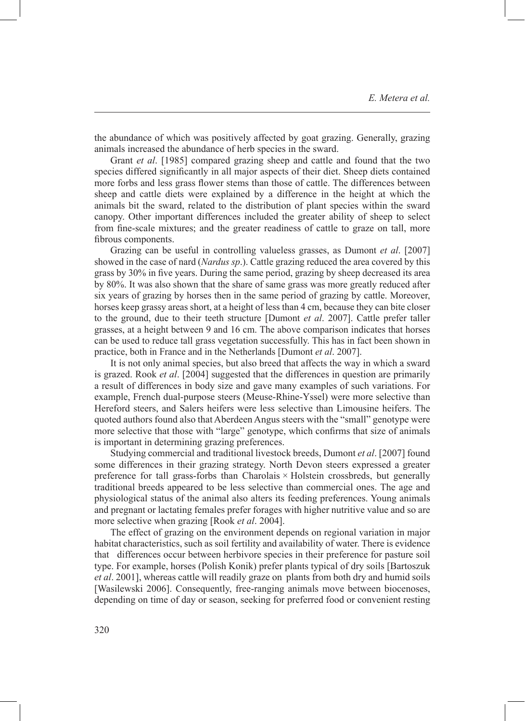the abundance of which was positively affected by goat grazing. Generally, grazing animals increased the abundance of herb species in the sward.

Grant *et al*. [1985] compared grazing sheep and cattle and found that the two species differed significantly in all major aspects of their diet. Sheep diets contained more forbs and less grass flower stems than those of cattle. The differences between sheep and cattle diets were explained by a difference in the height at which the animals bit the sward, related to the distribution of plant species within the sward canopy. Other important differences included the greater ability of sheep to select from fine-scale mixtures; and the greater readiness of cattle to graze on tall, more fibrous components.

Grazing can be useful in controlling valueless grasses, as Dumont *et al*. [2007] showed in the case of nard (*Nardus sp*.). Cattle grazing reduced the area covered by this grass by 30% in five years. During the same period, grazing by sheep decreased its area by 80%. It was also shown that the share of same grass was more greatly reduced after six years of grazing by horses then in the same period of grazing by cattle. Moreover, horses keep grassy areas short, at a height of less than 4 cm, because they can bite closer to the ground, due to their teeth structure [Dumont *et al*. 2007]. Cattle prefer taller grasses, at a height between 9 and 16 cm. The above comparison indicates that horses can be used to reduce tall grass vegetation successfully. This has in fact been shown in practice, both in France and in the Netherlands [Dumont *et al*. 2007].

It is not only animal species, but also breed that affects the way in which a sward is grazed. Rook *et al*. [2004] suggested that the differences in question are primarily a result of differences in body size and gave many examples of such variations. For example, French dual-purpose steers (Meuse-Rhine-Yssel) were more selective than Hereford steers, and Salers heifers were less selective than Limousine heifers. The quoted authors found also that Aberdeen Angus steers with the "small" genotype were more selective that those with "large" genotype, which confirms that size of animals is important in determining grazing preferences.

Studying commercial and traditional livestock breeds, Dumont *et al*. [2007] found some differences in their grazing strategy. North Devon steers expressed a greater preference for tall grass-forbs than Charolais × Holstein crossbreds, but generally traditional breeds appeared to be less selective than commercial ones. The age and physiological status of the animal also alters its feeding preferences. Young animals and pregnant or lactating females prefer forages with higher nutritive value and so are more selective when grazing [Rook *et al*. 2004].

The effect of grazing on the environment depends on regional variation in major habitat characteristics, such as soil fertility and availability of water. There is evidence that differences occur between herbivore species in their preference for pasture soil type. For example, horses (Polish Konik) prefer plants typical of dry soils [Bartoszuk *et al*. 2001], whereas cattle will readily graze on plants from both dry and humid soils [Wasilewski 2006]. Consequently, free-ranging animals move between biocenoses, depending on time of day or season, seeking for preferred food or convenient resting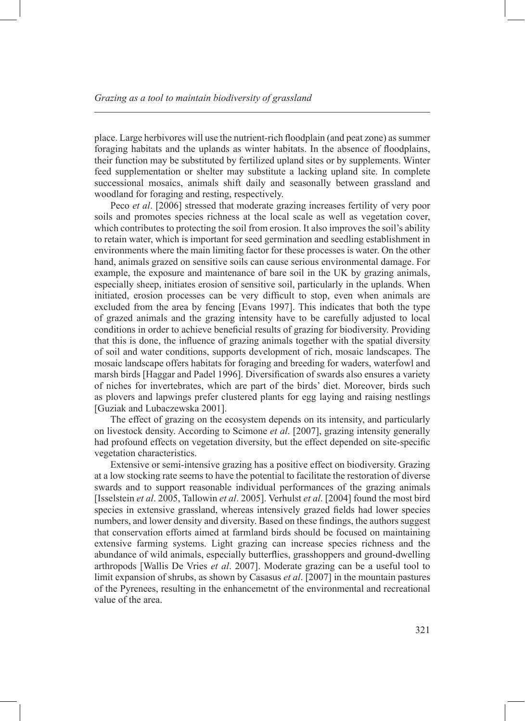place. Large herbivores will use the nutrient-rich floodplain (and peat zone) as summer foraging habitats and the uplands as winter habitats. In the absence of floodplains, their function may be substituted by fertilized upland sites or by supplements. Winter feed supplementation or shelter may substitute a lacking upland site. In complete successional mosaics, animals shift daily and seasonally between grassland and woodland for foraging and resting, respectively.

Peco *et al*. [2006] stressed that moderate grazing increases fertility of very poor soils and promotes species richness at the local scale as well as vegetation cover, which contributes to protecting the soil from erosion. It also improves the soil's ability to retain water, which is important for seed germination and seedling establishment in environments where the main limiting factor for these processes is water. On the other hand, animals grazed on sensitive soils can cause serious environmental damage. For example, the exposure and maintenance of bare soil in the UK by grazing animals, especially sheep, initiates erosion of sensitive soil, particularly in the uplands. When initiated, erosion processes can be very difficult to stop, even when animals are excluded from the area by fencing [Evans 1997]. This indicates that both the type of grazed animals and the grazing intensity have to be carefully adjusted to local conditions in order to achieve beneficial results of grazing for biodiversity. Providing that this is done, the influence of grazing animals together with the spatial diversity of soil and water conditions, supports development of rich, mosaic landscapes. The mosaic landscape offers habitats for foraging and breeding for waders, waterfowl and marsh birds [Haggar and Padel 1996]. Diversification of swards also ensures a variety of niches for invertebrates, which are part of the birds' diet. Moreover, birds such as plovers and lapwings prefer clustered plants for egg laying and raising nestlings [Guziak and Lubaczewska 2001].

The effect of grazing on the ecosystem depends on its intensity, and particularly on livestock density. According to Scimone *et al*. [2007], grazing intensity generally had profound effects on vegetation diversity, but the effect depended on site-specific vegetation characteristics.

Extensive or semi-intensive grazing has a positive effect on biodiversity. Grazing at a low stocking rate seems to have the potential to facilitate the restoration of diverse swards and to support reasonable individual performances of the grazing animals [Isselstein *et al*. 2005, Tallowin *et al*. 2005]. Verhulst *et al*. [2004] found the most bird species in extensive grassland, whereas intensively grazed fields had lower species numbers, and lower density and diversity. Based on these findings, the authors suggest that conservation efforts aimed at farmland birds should be focused on maintaining extensive farming systems. Light grazing can increase species richness and the abundance of wild animals, especially butterflies, grasshoppers and ground-dwelling arthropods [Wallis De Vries *et al*. 2007]. Moderate grazing can be a useful tool to limit expansion of shrubs, as shown by Casasus *et al*. [2007] in the mountain pastures of the Pyrenees, resulting in the enhancemetnt of the environmental and recreational value of the area.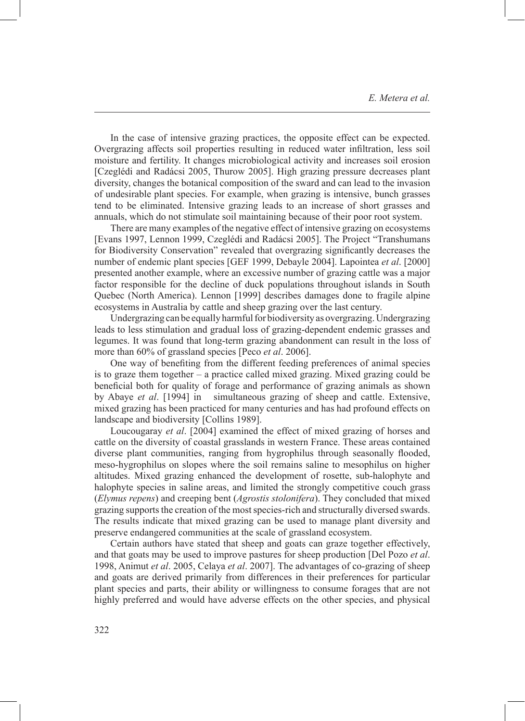In the case of intensive grazing practices, the opposite effect can be expected. Overgrazing affects soil properties resulting in reduced water infiltration, less soil moisture and fertility. It changes microbiological activity and increases soil erosion [Czeglédi and Radácsi 2005, Thurow 2005]. High grazing pressure decreases plant diversity, changes the botanical composition of the sward and can lead to the invasion of undesirable plant species. For example, when grazing is intensive, bunch grasses tend to be eliminated. Intensive grazing leads to an increase of short grasses and annuals, which do not stimulate soil maintaining because of their poor root system.

There are many examples of the negative effect of intensive grazing on ecosystems [Evans 1997, Lennon 1999, Czeglédi and Radácsi 2005]. The Project "Transhumans for Biodiversity Conservation" revealed that overgrazing significantly decreases the number of endemic plant species [GEF 1999, Debayle 2004]. Lapointea *et al*. [2000] presented another example, where an excessive number of grazing cattle was a major factor responsible for the decline of duck populations throughout islands in South Quebec (North America). Lennon [1999] describes damages done to fragile alpine ecosystems in Australia by cattle and sheep grazing over the last century.

Undergrazing can be equally harmful for biodiversity as overgrazing. Undergrazing leads to less stimulation and gradual loss of grazing-dependent endemic grasses and legumes. It was found that long-term grazing abandonment can result in the loss of more than 60% of grassland species [Peco *et al*. 2006].

One way of benefiting from the different feeding preferences of animal species is to graze them together – a practice called mixed grazing. Mixed grazing could be beneficial both for quality of forage and performance of grazing animals as shown by Abaye *et al*. [1994] in simultaneous grazing of sheep and cattle. Extensive, mixed grazing has been practiced for many centuries and has had profound effects on landscape and biodiversity [Collins 1989].

Loucougaray *et al*. [2004] examined the effect of mixed grazing of horses and cattle on the diversity of coastal grasslands in western France. These areas contained diverse plant communities, ranging from hygrophilus through seasonally flooded, meso-hygrophilus on slopes where the soil remains saline to mesophilus on higher altitudes. Mixed grazing enhanced the development of rosette, sub-halophyte and halophyte species in saline areas, and limited the strongly competitive couch grass (*Elymus repens*) and creeping bent (*Agrostis stolonifera*). They concluded that mixed grazing supports the creation of the most species-rich and structurally diversed swards. The results indicate that mixed grazing can be used to manage plant diversity and preserve endangered communities at the scale of grassland ecosystem.

Certain authors have stated that sheep and goats can graze together effectively, and that goats may be used to improve pastures for sheep production [Del Pozo *et al*. 1998, Animut *et al*. 2005, Celaya *et al*. 2007]. The advantages of co-grazing of sheep and goats are derived primarily from differences in their preferences for particular plant species and parts, their ability or willingness to consume forages that are not highly preferred and would have adverse effects on the other species, and physical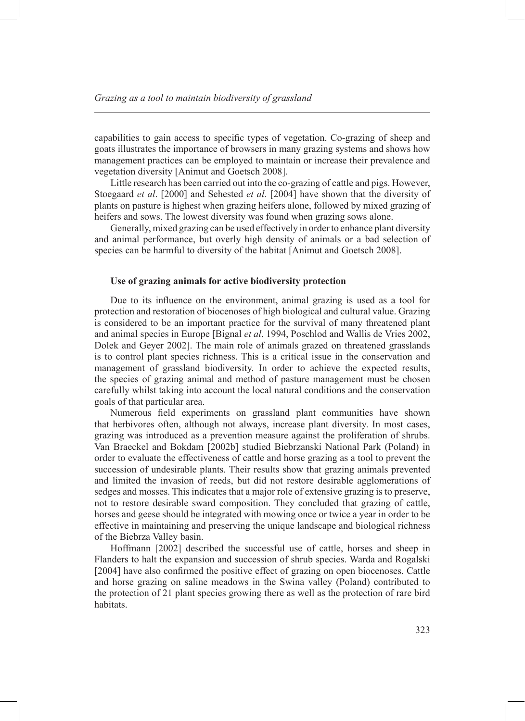capabilities to gain access to specific types of vegetation. Co-grazing of sheep and goats illustrates the importance of browsers in many grazing systems and shows how management practices can be employed to maintain or increase their prevalence and vegetation diversity [Animut and Goetsch 2008].

Little research has been carried out into the co-grazing of cattle and pigs. However, Stoegaard *et al*. [2000] and Sehested *et al*. [2004] have shown that the diversity of plants on pasture is highest when grazing heifers alone, followed by mixed grazing of heifers and sows. The lowest diversity was found when grazing sows alone.

Generally, mixed grazing can be used effectively in order to enhance plant diversity and animal performance, but overly high density of animals or a bad selection of species can be harmful to diversity of the habitat [Animut and Goetsch 2008].

#### **Use of grazing animals for active biodiversity protection**

Due to its influence on the environment, animal grazing is used as a tool for protection and restoration of biocenoses of high biological and cultural value. Grazing is considered to be an important practice for the survival of many threatened plant and animal species in Europe [Bignal *et al*. 1994, Poschlod and Wallis de Vries 2002, Dolek and Geyer 2002]. The main role of animals grazed on threatened grasslands is to control plant species richness. This is a critical issue in the conservation and management of grassland biodiversity. In order to achieve the expected results, the species of grazing animal and method of pasture management must be chosen carefully whilst taking into account the local natural conditions and the conservation goals of that particular area.

Numerous field experiments on grassland plant communities have shown that herbivores often, although not always, increase plant diversity. In most cases, grazing was introduced as a prevention measure against the proliferation of shrubs. Van Braeckel and Bokdam [2002b] studied Biebrzanski National Park (Poland) in order to evaluate the effectiveness of cattle and horse grazing as a tool to prevent the succession of undesirable plants. Their results show that grazing animals prevented and limited the invasion of reeds, but did not restore desirable agglomerations of sedges and mosses. This indicates that a major role of extensive grazing is to preserve, not to restore desirable sward composition. They concluded that grazing of cattle, horses and geese should be integrated with mowing once or twice a year in order to be effective in maintaining and preserving the unique landscape and biological richness of the Biebrza Valley basin.

Hoffmann [2002] described the successful use of cattle, horses and sheep in Flanders to halt the expansion and succession of shrub species. Warda and Rogalski [2004] have also confirmed the positive effect of grazing on open biocenoses. Cattle and horse grazing on saline meadows in the Swina valley (Poland) contributed to the protection of 21 plant species growing there as well as the protection of rare bird habitats.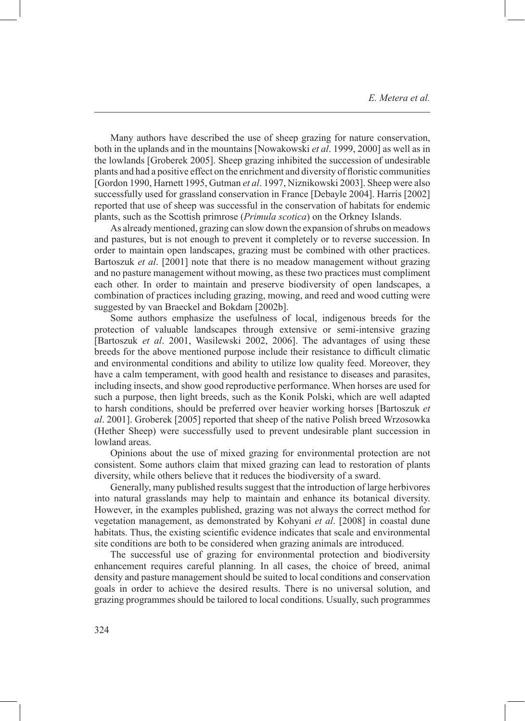Many authors have described the use of sheep grazing for nature conservation, both in the uplands and in the mountains [Nowakowski *et al*. 1999, 2000] as well as in the lowlands [Groberek 2005]. Sheep grazing inhibited the succession of undesirable plants and had a positive effect on the enrichment and diversity of floristic communities [Gordon 1990, Harnett 1995, Gutman *et al*. 1997, Niznikowski 2003]. Sheep were also successfully used for grassland conservation in France [Debayle 2004]. Harris [2002] reported that use of sheep was successful in the conservation of habitats for endemic plants, such as the Scottish primrose (*Primula scotica*) on the Orkney Islands.

As already mentioned, grazing can slow down the expansion of shrubs on meadows and pastures, but is not enough to prevent it completely or to reverse succession. In order to maintain open landscapes, grazing must be combined with other practices. Bartoszuk *et al*. [2001] note that there is no meadow management without grazing and no pasture management without mowing, as these two practices must compliment each other. In order to maintain and preserve biodiversity of open landscapes, a combination of practices including grazing, mowing, and reed and wood cutting were suggested by van Braeckel and Bokdam [2002b].

Some authors emphasize the usefulness of local, indigenous breeds for the protection of valuable landscapes through extensive or semi-intensive grazing [Bartoszuk *et al*. 2001, Wasilewski 2002, 2006]. The advantages of using these breeds for the above mentioned purpose include their resistance to difficult climatic and environmental conditions and ability to utilize low quality feed. Moreover, they have a calm temperament, with good health and resistance to diseases and parasites, including insects, and show good reproductive performance. When horses are used for such a purpose, then light breeds, such as the Konik Polski, which are well adapted to harsh conditions, should be preferred over heavier working horses [Bartoszuk *et al*. 2001]. Groberek [2005] reported that sheep of the native Polish breed Wrzosowka (Hether Sheep) were successfully used to prevent undesirable plant succession in lowland areas.

Opinions about the use of mixed grazing for environmental protection are not consistent. Some authors claim that mixed grazing can lead to restoration of plants diversity, while others believe that it reduces the biodiversity of a sward.

Generally, many published results suggest that the introduction of large herbivores into natural grasslands may help to maintain and enhance its botanical diversity. However, in the examples published, grazing was not always the correct method for vegetation management, as demonstrated by Kohyani *et al*. [2008] in coastal dune habitats. Thus, the existing scientific evidence indicates that scale and environmental site conditions are both to be considered when grazing animals are introduced.

The successful use of grazing for environmental protection and biodiversity enhancement requires careful planning. In all cases, the choice of breed, animal density and pasture management should be suited to local conditions and conservation goals in order to achieve the desired results. There is no universal solution, and grazing programmes should be tailored to local conditions. Usually, such programmes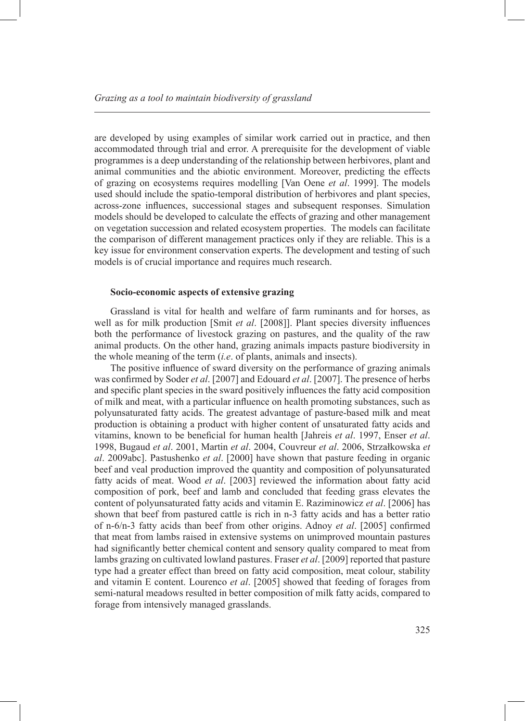are developed by using examples of similar work carried out in practice, and then accommodated through trial and error. A prerequisite for the development of viable programmes is a deep understanding of the relationship between herbivores, plant and animal communities and the abiotic environment. Moreover, predicting the effects of grazing on ecosystems requires modelling [Van Oene *et al*. 1999]. The models used should include the spatio-temporal distribution of herbivores and plant species, across-zone influences, successional stages and subsequent responses. Simulation models should be developed to calculate the effects of grazing and other management on vegetation succession and related ecosystem properties. The models can facilitate the comparison of different management practices only if they are reliable. This is a key issue for environment conservation experts. The development and testing of such models is of crucial importance and requires much research.

#### **Socio-economic aspects of extensive grazing**

Grassland is vital for health and welfare of farm ruminants and for horses, as well as for milk production [Smit *et al*. [2008]]. Plant species diversity influences both the performance of livestock grazing on pastures, and the quality of the raw animal products. On the other hand, grazing animals impacts pasture biodiversity in the whole meaning of the term (*i.e*. of plants, animals and insects).

The positive influence of sward diversity on the performance of grazing animals was confirmed by Soder *et al*. [2007] and Edouard *et al*. [2007]. The presence of herbs and specific plant species in the sward positively influences the fatty acid composition of milk and meat, with a particular influence on health promoting substances, such as polyunsaturated fatty acids. The greatest advantage of pasture-based milk and meat production is obtaining a product with higher content of unsaturated fatty acids and vitamins, known to be beneficial for human health [Jahreis *et al*. 1997, Enser *et al*. 1998, Bugaud *et al*. 2001, Martin *et al*. 2004, Couvreur *et al*. 2006, Strzałkowska *et al*. 2009abc]. Pastushenko *et al*. [2000] have shown that pasture feeding in organic beef and veal production improved the quantity and composition of polyunsaturated fatty acids of meat. Wood *et al*. [2003] reviewed the information about fatty acid composition of pork, beef and lamb and concluded that feeding grass elevates the content of polyunsaturated fatty acids and vitamin E. Raziminowicz *et al*. [2006] has shown that beef from pastured cattle is rich in n-3 fatty acids and has a better ratio of n-6/n-3 fatty acids than beef from other origins. Adnoy *et al*. [2005] confirmed that meat from lambs raised in extensive systems on unimproved mountain pastures had significantly better chemical content and sensory quality compared to meat from lambs grazing on cultivated lowland pastures. Fraser *et al.* [2009] reported that pasture type had a greater effect than breed on fatty acid composition, meat colour, stability and vitamin E content. Lourenco *et al*. [2005] showed that feeding of forages from semi-natural meadows resulted in better composition of milk fatty acids, compared to forage from intensively managed grasslands.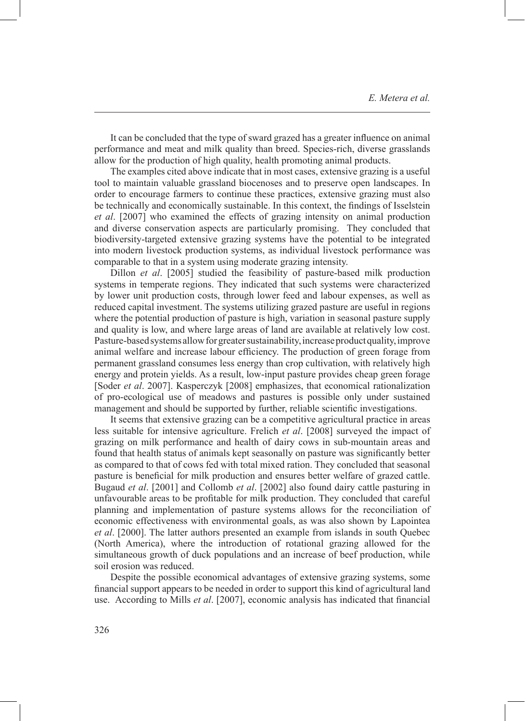It can be concluded that the type of sward grazed has a greater influence on animal performance and meat and milk quality than breed. Species-rich, diverse grasslands allow for the production of high quality, health promoting animal products.

The examples cited above indicate that in most cases, extensive grazing is a useful tool to maintain valuable grassland biocenoses and to preserve open landscapes. In order to encourage farmers to continue these practices, extensive grazing must also be technically and economically sustainable. In this context, the findings of Isselstein *et al*. [2007] who examined the effects of grazing intensity on animal production and diverse conservation aspects are particularly promising. They concluded that biodiversity-targeted extensive grazing systems have the potential to be integrated into modern livestock production systems, as individual livestock performance was comparable to that in a system using moderate grazing intensity.

Dillon *et al*. [2005] studied the feasibility of pasture-based milk production systems in temperate regions. They indicated that such systems were characterized by lower unit production costs, through lower feed and labour expenses, as well as reduced capital investment. The systems utilizing grazed pasture are useful in regions where the potential production of pasture is high, variation in seasonal pasture supply and quality is low, and where large areas of land are available at relatively low cost. Pasture-based systems allow for greater sustainability, increase product quality, improve animal welfare and increase labour efficiency. The production of green forage from permanent grassland consumes less energy than crop cultivation, with relatively high energy and protein yields. As a result, low-input pasture provides cheap green forage [Soder *et al*. 2007]. Kasperczyk [2008] emphasizes, that economical rationalization of pro-ecological use of meadows and pastures is possible only under sustained management and should be supported by further, reliable scientific investigations.

It seems that extensive grazing can be a competitive agricultural practice in areas less suitable for intensive agriculture. Frelich *et al*. [2008] surveyed the impact of grazing on milk performance and health of dairy cows in sub-mountain areas and found that health status of animals kept seasonally on pasture was significantly better as compared to that of cows fed with total mixed ration. They concluded that seasonal pasture is beneficial for milk production and ensures better welfare of grazed cattle. Bugaud *et al*. [2001] and Collomb *et al*. [2002] also found dairy cattle pasturing in unfavourable areas to be profitable for milk production. They concluded that careful planning and implementation of pasture systems allows for the reconciliation of economic effectiveness with environmental goals, as was also shown by Lapointea *et al*. [2000]. The latter authors presented an example from islands in south Quebec (North America), where the introduction of rotational grazing allowed for the simultaneous growth of duck populations and an increase of beef production, while soil erosion was reduced.

Despite the possible economical advantages of extensive grazing systems, some financial support appears to be needed in order to support this kind of agricultural land use. According to Mills *et al*. [2007], economic analysis has indicated that financial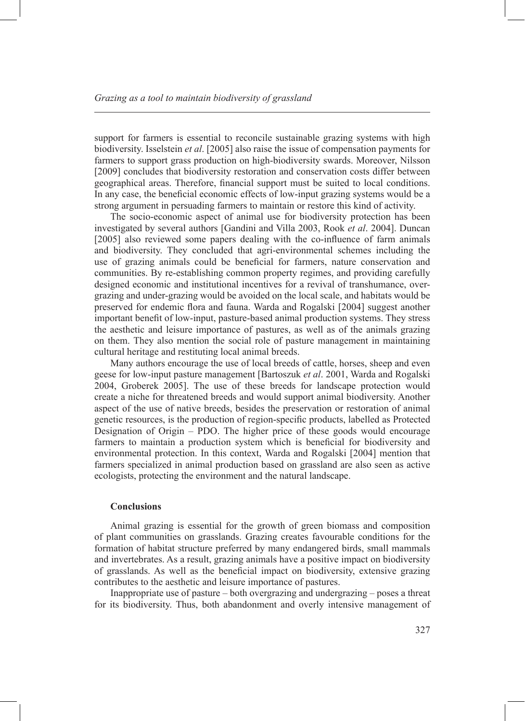support for farmers is essential to reconcile sustainable grazing systems with high biodiversity. Isselstein *et al*. [2005] also raise the issue of compensation payments for farmers to support grass production on high-biodiversity swards. Moreover, Nilsson [2009] concludes that biodiversity restoration and conservation costs differ between geographical areas. Therefore, financial support must be suited to local conditions. In any case, the beneficial economic effects of low-input grazing systems would be a strong argument in persuading farmers to maintain or restore this kind of activity.

The socio-economic aspect of animal use for biodiversity protection has been investigated by several authors [Gandini and Villa 2003, Rook *et al*. 2004]. Duncan [2005] also reviewed some papers dealing with the co-influence of farm animals and biodiversity. They concluded that agri-environmental schemes including the use of grazing animals could be beneficial for farmers, nature conservation and communities. By re-establishing common property regimes, and providing carefully designed economic and institutional incentives for a revival of transhumance, overgrazing and under-grazing would be avoided on the local scale, and habitats would be preserved for endemic flora and fauna. Warda and Rogalski [2004] suggest another important benefit of low-input, pasture-based animal production systems. They stress the aesthetic and leisure importance of pastures, as well as of the animals grazing on them. They also mention the social role of pasture management in maintaining cultural heritage and restituting local animal breeds.

Many authors encourage the use of local breeds of cattle, horses, sheep and even geese for low-input pasture management [Bartoszuk *et al*. 2001, Warda and Rogalski 2004, Groberek 2005]. The use of these breeds for landscape protection would create a niche for threatened breeds and would support animal biodiversity. Another aspect of the use of native breeds, besides the preservation or restoration of animal genetic resources, is the production of region-specific products, labelled as Protected Designation of Origin – PDO. The higher price of these goods would encourage farmers to maintain a production system which is beneficial for biodiversity and environmental protection. In this context, Warda and Rogalski [2004] mention that farmers specialized in animal production based on grassland are also seen as active ecologists, protecting the environment and the natural landscape.

#### **Conclusions**

Animal grazing is essential for the growth of green biomass and composition of plant communities on grasslands. Grazing creates favourable conditions for the formation of habitat structure preferred by many endangered birds, small mammals and invertebrates. As a result, grazing animals have a positive impact on biodiversity of grasslands. As well as the beneficial impact on biodiversity, extensive grazing contributes to the aesthetic and leisure importance of pastures.

Inappropriate use of pasture – both overgrazing and undergrazing – poses a threat for its biodiversity. Thus, both abandonment and overly intensive management of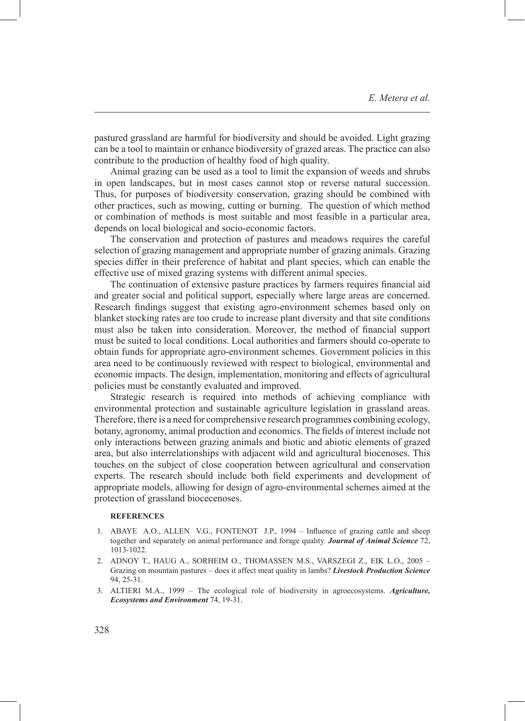pastured grassland are harmful for biodiversity and should be avoided. Light grazing can be a tool to maintain or enhance biodiversity of grazed areas. The practice can also contribute to the production of healthy food of high quality.

Animal grazing can be used as a tool to limit the expansion of weeds and shrubs in open landscapes, but in most cases cannot stop or reverse natural succession. Thus, for purposes of biodiversity conservation, grazing should be combined with other practices, such as mowing, cutting or burning. The question of which method or combination of methods is most suitable and most feasible in a particular area, depends on local biological and socio-economic factors.

The conservation and protection of pastures and meadows requires the careful selection of grazing management and appropriate number of grazing animals. Grazing species differ in their preference of habitat and plant species, which can enable the effective use of mixed grazing systems with different animal species.

The continuation of extensive pasture practices by farmers requires financial aid and greater social and political support, especially where large areas are concerned. Research findings suggest that existing agro-environment schemes based only on blanket stocking rates are too crude to increase plant diversity and that site conditions must also be taken into consideration. Moreover, the method of financial support must be suited to local conditions. Local authorities and farmers should co-operate to obtain funds for appropriate agro-environment schemes. Government policies in this area need to be continuously reviewed with respect to biological, environmental and economic impacts. The design, implementation, monitoring and effects of agricultural policies must be constantly evaluated and improved.

Strategic research is required into methods of achieving compliance with environmental protection and sustainable agriculture legislation in grassland areas. Therefore, there is a need for comprehensive research programmes combining ecology, botany, agronomy, animal production and economics. The fields of interest include not only interactions between grazing animals and biotic and abiotic elements of grazed area, but also interrelationships with adjacent wild and agricultural biocenoses. This touches on the subject of close cooperation between agricultural and conservation experts. The research should include both field experiments and development of appropriate models, allowing for design of agro-environmental schemes aimed at the protection of grassland biocecenoses.

#### **References**

- 1. ABAYE A.O., ALLEN V.G., FONTENOT J.P., 1994 Influence of grazing cattle and sheep together and separately on animal performance and forage quality. *Journal of Animal Science* 72, 1013-1022.
- ADNOY T., HAUG A., SORHEIM O., THOMASSEN M.S., VARSZEGI Z., EIK L.O., 2005 2. Grazing on mountain pastures – does it affect meat quality in lambs? *Livestock Production Science* 94, 25-31.
- ALTIERI M.A., 1999 The ecological role of biodiversity in agroecosystems. *Agriculture,*  3. *Ecosystems and Environment* 74, 19-31.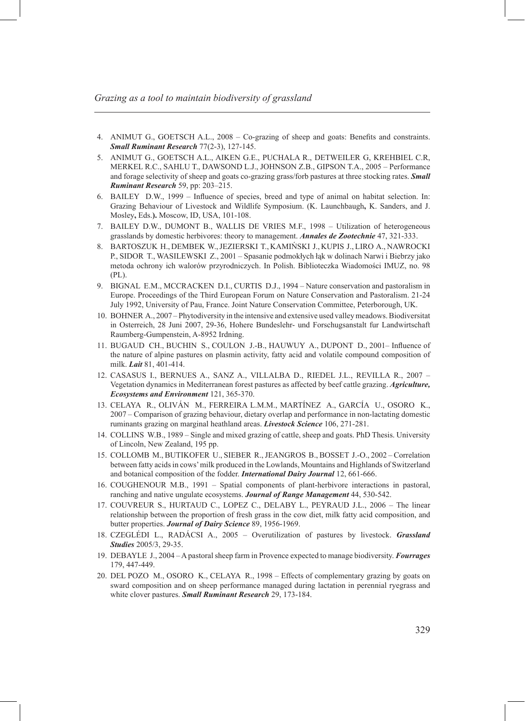- ANIMUT G., GOETSCH A.L., 2008 Co-grazing of sheep and goats: Benefits and constraints. 4. *Small Ruminant Research* 77(2-3), 127-145.
- ANIMUT G., GOETSCH A.L., AIKEN G.E., PUCHALA R., DETWEILER G, KREHBIEL C.R, 5. MERKEL R.C., SAHLU T., DAWSOND L.J., JOHNSON Z.B., GIPSON T.A., 2005 – Performance and forage selectivity of sheep and goats co-grazing grass/forb pastures at three stocking rates. *Small Ruminant Research* 59, pp: 203–215.
- BAILEY D.W., 1999 Influence of species, breed and type of animal on habitat selection. In: 6. Grazing Behaviour of Livestock and Wildlife Symposium. (K. Launchbaugh**,** K. Sanders, and J. Mosley**,** Eds.**).** Moscow, ID, USA, 101-108.
- BAILEY D.W., DUMONT B., WALLIS DE VRIES M.F., 1998 Utilization of heterogeneous 7. grasslands by domestic herbivores: theory to management. *Annales de Zootechnie* 47, 321-333.
- BARTOSZUK H., DEMBEK W., JEZIERSKI T., KAMIŃSKI J., KUPIS J., LIRO A., NAWROCKI 8. P., SIDOR T., WASILEWSKI Z., 2001 – Spasanie podmokłych łąk w dolinach Narwi i Biebrzy jako metoda ochrony ich walorów przyrodniczych. In Polish. Biblioteczka Wiadomości IMUZ, no. 98 (PL).
- BIGNAL E.M., MCCRACKEN D.I., CURTIS D.J., 1994 Nature conservation and pastoralism in 9. Europe. Proceedings of the Third European Forum on Nature Conservation and Pastoralism. 21-24 July 1992, University of Pau, France. Joint Nature Conservation Committee, Peterborough, UK.
- 10. BOHNER A., 2007 Phytodiversity in the intensive and extensive used valley meadows. Biodiversitat in Osterreich, 28 Juni 2007, 29-36, Hohere Bundeslehr- und Forschugsanstalt fur Landwirtschaft Raumberg-Gumpenstein, A-8952 Irdning.
- 11. BUGAUD CH., BUCHIN S., COULON J.-B., HAUWUY A., DUPONT D., 2001– Influence of the nature of alpine pastures on plasmin activity, fatty acid and volatile compound composition of milk. *Lait* 81, 401-414.
- 12. CASASUS I., BERNUES A., SANZ A., VILLALBA D., RIEDEL J.L., REVILLA R., 2007 Vegetation dynamics in Mediterranean forest pastures as affected by beef cattle grazing. *Agriculture, Ecosystems and Environment* 121, 365-370.
- 13. CELAYA R., OLIVAN M., FERREIRA L.M.M., MARTINEZ A., GARCIA U., OSORO K., 2007 – Comparison of grazing behaviour, dietary overlap and performance in non-lactating domestic ruminants grazing on marginal heathland areas. *Livestock Science* 106, 271-281.
- 14. COLLINS W.B., 1989 Single and mixed grazing of cattle, sheep and goats. PhD Thesis. University of Lincoln, New Zealand, 195 pp.
- 15. COLLOMB M., BUTIKOFER U., SIEBER R., JEANGROS B., BOSSET J.-O., 2002 Correlation between fatty acids in cows' milk produced in the Lowlands, Mountains and Highlands of Switzerland and botanical composition of the fodder. *International Dairy Journal* 12, 661-666.
- 16. COUGHENOUR M.B., 1991 Spatial components of plant-herbivore interactions in pastoral, ranching and native ungulate ecosystems. *Journal of Range Management* 44, 530-542.
- 17. COUVREUR S., HURTAUD C., LOPEZ C., DELABY L., PEYRAUD J.L., 2006 The linear relationship between the proportion of fresh grass in the cow diet, milk fatty acid composition, and butter properties. *Journal of Dairy Science* 89, 1956-1969.
- CZEGLÉDI L., RADÁCSI A., 2005 Overutilization of pastures by livestock. *Grassland*  18. *Studies* 2005/3, 29-35.
- DEBAYLE J., 2004 A pastoral sheep farm in Provence expected to manage biodiversity. *Fourrages* 19. 179, 447-449.
- 20. DEL POZO M., OSORO K., CELAYA R., 1998 Effects of complementary grazing by goats on sward composition and on sheep performance managed during lactation in perennial ryegrass and white clover pastures. *Small Ruminant Research* 29, 173-184.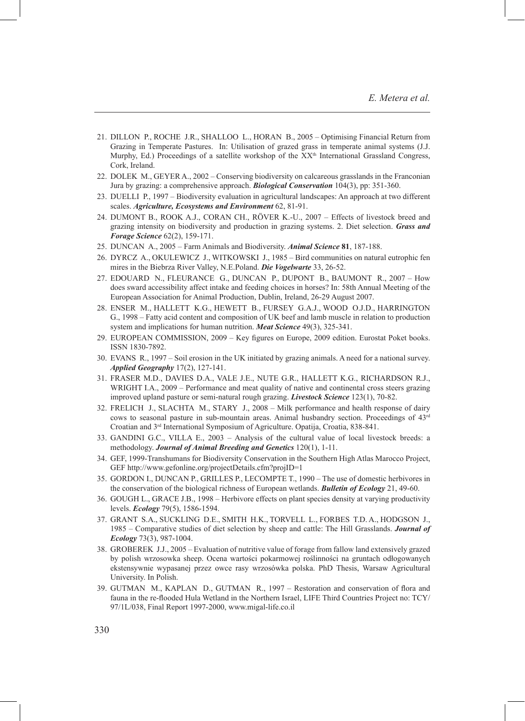- 21. DILLON P., ROCHE J.R., SHALLOO L., HORAN B., 2005 Optimising Financial Return from Grazing in Temperate Pastures. In: Utilisation of grazed grass in temperate animal systems (J.J. Murphy, Ed.) Proceedings of a satellite workshop of the  $XX<sup>th</sup>$  International Grassland Congress, Cork, Ireland.
- 22. DOLEK M., GEYER A., 2002 Conserving biodiversity on calcareous grasslands in the Franconian Jura by grazing: a comprehensive approach. *Biological Conservation* 104(3), pp: 351-360.
- 23. DUELLI P., 1997 Biodiversity evaluation in agricultural landscapes: An approach at two different scales. *Agriculture, Ecosystems and Environment* 62, 81-91.
- 24. DUMONT B., ROOK A.J., CORAN CH., ROVER K.-U., 2007 Effects of livestock breed and grazing intensity on biodiversity and production in grazing systems. 2. Diet selection. *Grass and Forage Science* 62(2), 159-171.
- DUNCAN A., 2005 Farm Animals and Biodiversity. *Animal Science* **81**, 187-188. 25.
- DYRCZ A., OKULEWICZ J., WITKOWSKI J., 1985 Bird communities on natural eutrophic fen 26. mires in the Biebrza River Valley, N.E.Poland. *Die Vogelwarte* 33, 26-52.
- EDOUARD N., FLEURANCE G., DUNCAN P., DUPONT B., BAUMONT R., 2007 How 27. does sward accessibility affect intake and feeding choices in horses? In: 58th Annual Meeting of the European Association for Animal Production, Dublin, Ireland, 26-29 August 2007.
- ENSER M., HALLETT K.G., HEWETT B., FURSEY G.A.J., WOOD O.J.D., HARRINGTON 28. G., 1998 – Fatty acid content and composition of UK beef and lamb muscle in relation to production system and implications for human nutrition. *Meat Science* 49(3), 325-341.
- EUROPEAN COMMISSION, 2009 Key figures on Europe, 2009 edition. Eurostat Poket books. 29. ISSN 1830-7892.
- EVANS R., 1997 Soil erosion in the UK initiated by grazing animals. A need for a national survey. 30. *Applied Geography* 17(2), 127-141.
- FRASER M.D., DAVIES D.A., VALE J.E., NUTE G.R., HALLETT K.G., RICHARDSON R.J., 31. WRIGHT I.A., 2009 – Performance and meat quality of native and continental cross steers grazing improved upland pasture or semi-natural rough grazing. *Livestock Science* 123(1), 70-82.
- FRELICH J., SLACHTA M., STARY J., 2008 Milk performance and health response of dairy 32. cows to seasonal pasture in sub-mountain areas. Animal husbandry section. Proceedings of 43rd Croatian and 3rd International Symposium of Agriculture. Opatija, Croatia, 838-841.
- GANDINI G.C., VILLA E., 2003 Analysis of the cultural value of local livestock breeds: a 33. methodology. *Journal of Animal Breeding and Genetics* 120(1), 1-11.
- GEF, 1999-Transhumans for Biodiversity Conservation in the Southern High Atlas Marocco Project, 34. GEF http://www.gefonline.org/projectDetails.cfm?projID=1
- GORDON I., DUNCAN P., GRILLES P., LECOMPTE T., 1990 The use of domestic herbivores in 35. the conservation of the biological richness of European wetlands. *Bulletin of Ecology* 21, 49-60.
- GOUGH L., GRACE J.B., 1998 Herbivore effects on plant species density at varying productivity 36. levels. *Ecology* 79(5), 1586-1594.
- GRANT S.A., SUCKLING D.E., SMITH H.K., TORVELL L., FORBES T.D. A., HODGSON J., 37. 1985 – Comparative studies of diet selection by sheep and cattle: The Hill Grasslands. *Journal of Ecology* 73(3), 987-1004.
- GROBEREK J.J., 2005 Evaluation of nutritive value of forage from fallow land extensively grazed 38. by polish wrzosowka sheep. Ocena wartości pokarmowej roślinności na gruntach odłogowanych ekstensywnie wypasanej przez owce rasy wrzosówka polska. PhD Thesis, Warsaw Agricultural University. In Polish.
- GUTMAN M., KAPLAN D., GUTMAN R., 1997 Restoration and conservation of flora and 39. fauna in the re-flooded Hula Wetland in the Northern Israel, LIFE Third Countries Project no: TCY/ 97/1L/038, Final Report 1997-2000, www.migal-life.co.il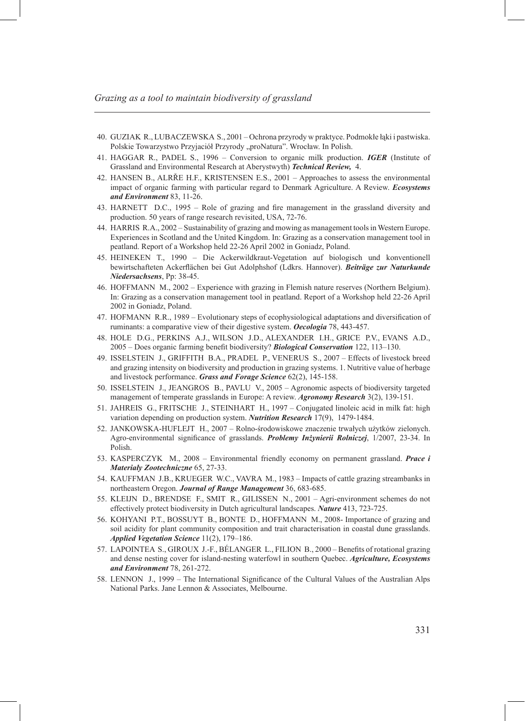- GUZIAK R., LUBACZEWSKA S., 2001 Ochrona przyrody w praktyce. Podmokłe łąki i pastwiska. 40. Polskie Towarzystwo Przyjaciół Przyrody "proNatura". Wrocław. In Polish.
- HAGGAR R., PADEL S., 1996 Conversion to organic milk production. *IGER* (Institute of 41. Grassland and Environmental Research at Aberystwyth) *Technical Review,* 4.
- HANSEN B., ALRŘE H.F., KRISTENSEN E.S., 2001 Approaches to assess the environmental 42. impact of organic farming with particular regard to Denmark Agriculture. A Review. *Ecosystems and Environment* 83, 11-26.
- HARNETT D.C., 1995 Role of grazing and fire management in the grassland diversity and 43. production. 50 years of range research revisited, USA, 72-76.
- HARRIS R.A., 2002 Sustainability of grazing and mowing as management tools in Western Europe. 44. Experiences in Scotland and the United Kingdom. In: Grazing as a conservation management tool in peatland. Report of a Workshop held 22-26 April 2002 in Goniadz, Poland.
- 45. HEINEKEN T., 1990 Die Ackerwildkraut-Vegetation auf biologisch und konventionell bewirtschafteten Ackerflächen bei Gut Adolphshof (Ldkrs. Hannover). *Beiträge zur Naturkunde Niedersachsens*, Pp: 38-45.
- 46. HOFFMANN M., 2002 Experience with grazing in Flemish nature reserves (Northern Belgium). In: Grazing as a conservation management tool in peatland. Report of a Workshop held 22-26 April 2002 in Goniadz, Poland.
- 47. HOFMANN R.R., 1989 Evolutionary steps of ecophysiological adaptations and diversification of ruminants: a comparative view of their digestive system. *Oecologia* 78, 443-457.
- 48. HOLE D.G., PERKINS A.J., WILSON J.D., ALEXANDER I.H., GRICE P.V., EVANS A.D., 2005 – Does organic farming benefit biodiversity? *Biological Conservation* 122, 113–130.
- 49. ISSELSTEIN J., GRIFFITH B.A., PRADEL P., VENERUS S., 2007 Effects of livestock breed and grazing intensity on biodiversity and production in grazing systems. 1. Nutritive value of herbage and livestock performance. *Grass and Forage Science* 62(2), 145-158.
- 50. ISSELSTEIN J., JEANGROS B., PAVLU V., 2005 Agronomic aspects of biodiversity targeted management of temperate grasslands in Europe: A review. *Agronomy Research* 3(2), 139-151.
- 51. JAHREIS G., FRITSCHE J., STEINHART H., 1997 Conjugated linoleic acid in milk fat: high variation depending on production system. *Nutrition Research* 17(9), 1479-1484.
- 52. JANKOWSKA-HUFLEJT H., 2007 Rolno-środowiskowe znaczenie trwałych użytków zielonych. Agro-environmental significance of grasslands. *Problemy Inżynierii Rolniczej*, 1/2007, 23-34. In Polish.
- 53. KASPERCZYK M., 2008 Environmental friendly economy on permanent grassland. *Prace i Materiały Zootechniczne* 65, 27-33.
- 54. KAUFFMAN J.B., KRUEGER W.C., VAVRA M., 1983 Impacts of cattle grazing streambanks in northeastern Oregon. *Journal of Range Management* 36, 683-685.
- 55. KLEIJN D., BRENDSE F., SMIT R., GILISSEN N., 2001 Agri-environment schemes do not effectively protect biodiversity in Dutch agricultural landscapes. *Nature* 413, 723-725.
- 56. KOHYANI P.T., BOSSUYT B., BONTE D., HOFFMANN M., 2008- Importance of grazing and soil acidity for plant community composition and trait characterisation in coastal dune grasslands. *Applied Vegetation Science* 11(2), 179–186.
- 57. LAPOINTEA S., GIROUX J.-F., BÉLANGER L., FILION B., 2000 Benefits of rotational grazing and dense nesting cover for island-nesting waterfowl in southern Quebec. *Agriculture, Ecosystems and Environment* 78, 261-272.
- LENNON J., 1999 The International Significance of the Cultural Values of the Australian Alps 58. National Parks. Jane Lennon & Associates, Melbourne.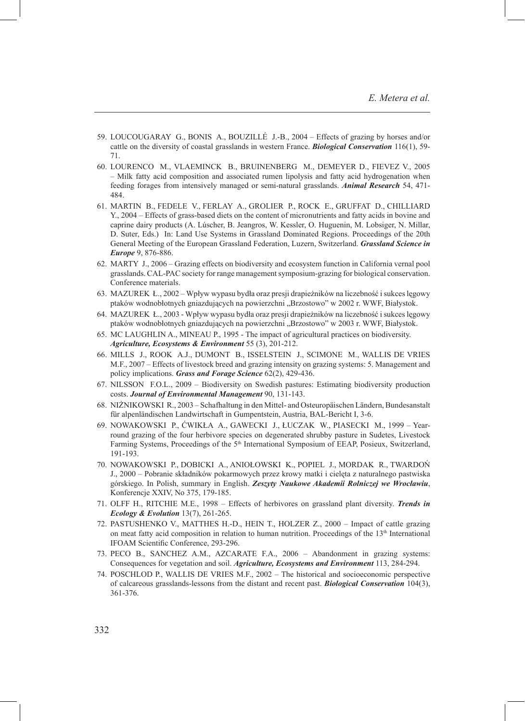- 59. LOUCOUGARAY G., BONIS A., BOUZILLE J.-B., 2004 Effects of grazing by horses and/or cattle on the diversity of coastal grasslands in western France. *Biological Conservation* 116(1), 59- 71.
- 60. LOURENCO M., VLAEMINCK B., BRUINENBERG M., DEMEYER D., FIEVEZ V., 2005 – Milk fatty acid composition and associated rumen lipolysis and fatty acid hydrogenation when feeding forages from intensively managed or semi-natural grasslands. *Animal Research* 54, 471- 484.
- MARTIN B., FEDELE V., FERLAY A., GROLIER P., ROCK E., GRUFFAT D., CHILLIARD 61. Y., 2004 – Effects of grass-based diets on the content of micronutrients and fatty acids in bovine and caprine dairy products (A. Lúscher, B. Jeangros, W. Kessler, O. Huguenin, M. Lobsiger, N. Millar, D. Suter, Eds.) In: Land Use Systems in Grassland Dominated Regions. Proceedings of the 20th General Meeting of the European Grassland Federation, Luzern, Switzerland. *Grassland Science in Europe* 9, 876-886.
- MARTY J., 2006 Grazing effects on biodiversity and ecosystem function in California vernal pool 62. grasslands. CAL-PAC society for range management symposium-grazing for biological conservation. Conference materials.
- MAZUREK Ł., 2002 Wpływ wypasu bydła oraz presji drapieżników na liczebność i sukces lęgowy 63. ptaków wodnobłotnych gniazdujących na powierzchni "Brzostowo" w 2002 r. WWF, Białystok.
- MAZUREK Ł., 2003 Wpływ wypasu bydła oraz presji drapieżników na liczebność i sukces lęgowy 64. ptaków wodnobłotnych gniazdujących na powierzchni "Brzostowo" w 2003 r. WWF, Białystok.
- 65. MC LAUGHLIN A., MINEAU P., 1995 The impact of agricultural practices on biodiversity. *Agriculture, Ecosystems & Environment* 55 (3), 201-212.
- 66. MILLS J., ROOK A.J., DUMONT B., ISSELSTEIN J., SCIMONE M., WALLIS DE VRIES M.F., 2007 – Effects of livestock breed and grazing intensity on grazing systems: 5. Management and policy implications. *Grass and Forage Science* 62(2), 429-436.
- 67. NILSSON F.O.L., 2009 Biodiversity on Swedish pastures: Estimating biodiversity production costs. *Journal of Environmental Management* 90, 131-143.
- 68. NIZNIKOWSKI R., 2003 Schafhaltung in den Mittel- and Osteuropäischen Ländern, Bundesanstalt für alpenländischen Landwirtschaft in Gumpentstein, Austria, BAL-Bericht I, 3-6.
- 69. NOWAKOWSKI P., ĆWIKŁA A., GAWECKI J., ŁUCZAK W., PIASECKI M., 1999 Yearround grazing of the four herbivore species on degenerated shrubby pasture in Sudetes, Livestock Farming Systems, Proceedings of the 5<sup>th</sup> International Symposium of EEAP, Posieux, Switzerland, 191-193.
- 70. NOWAKOWSKI P., DOBICKI A., ANIOŁOWSKI K., POPIEL J., MORDAK R., TWARDON J., 2000 – Pobranie składników pokarmowych przez krowy matki i cielęta z naturalnego pastwiska górskiego. In Polish, summary in English. *Zeszyty Naukowe Akademii Rolniczej we Wrocławiu*, Konferencje XXIV, No 375, 179-185.
- 71. OLFF H., RITCHIE M.E., 1998 Effects of herbivores on grassland plant diversity. *Trends in Ecology & Evolution* 13(7), 261-265.
- 72. PASTUSHENKO V., MATTHES H.-D., HEIN T., HOLZER Z., 2000 Impact of cattle grazing on meat fatty acid composition in relation to human nutrition. Proceedings of the  $13<sup>th</sup>$  International IFOAM Scientific Conference, 293-296.
- 73. PECO B., SANCHEZ A.M., AZCARATE F.A., 2006 Abandonment in grazing systems: Consequences for vegetation and soil. *Agriculture, Ecosystems and Environment* 113, 284-294.
- 74. POSCHLOD P., WALLIS DE VRIES M.F., 2002 The historical and socioeconomic perspective of calcareous grasslands-lessons from the distant and recent past. *Biological Conservation* 104(3), 361-376.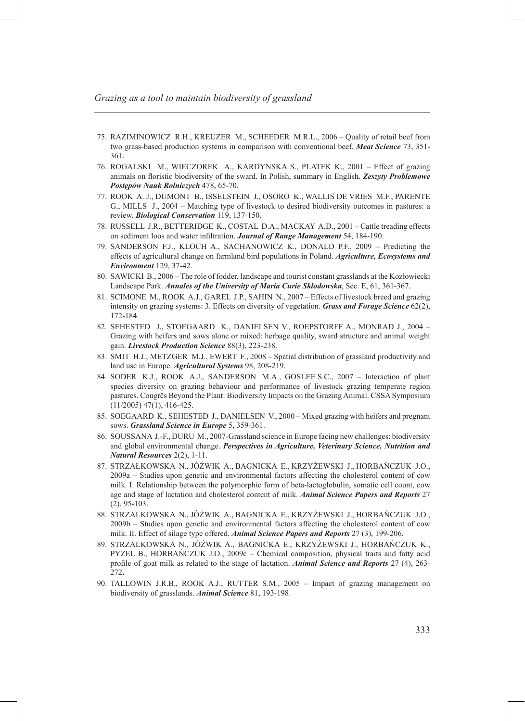- 75. RAZIMINOWICZ R.H., KREUZER M., SCHEEDER M.R.L., 2006 Quality of retail beef from two grass-based production systems in comparison with conventional beef. *Meat Science* 73, 351- 361.
- ROGALSKI M., WIECZOREK A., KARDYNSKA S., PLATEK K., 2001 Effect of grazing 76. animals on floristic biodiversity of the sward. In Polish, summary in English*. Zeszyty Problemowe Postępów Nauk Rolniczych* 478, 65-70.
- 77. ROOK A. J., DUMONT B., ISSELSTEIN J., OSORO K., WALLIS DE VRIES M.F., PARENTE G., MILLS J., 2004 – Matching type of livestock to desired biodiversity outcomes in pastures: a review. *Biological Conservation* 119, 137-150.
- 78. RUSSELL J.R., BETTERIDGE K., COSTAL D.A., MACKAY A.D., 2001 Cattle treading effects on sediment loos and water infiltration. *Journal of Range Management* 54, 184-190.
- 79. SANDERSON F.J., KLOCH A., SACHANOWICZ K., DONALD P.F., 2009 Predicting the effects of agricultural change on farmland bird populations in Poland. *Agriculture, Ecosystems and Environment* 129, 37-42.
- SAWICKI B., 2006 The role of fodder, landscape and tourist constant grasslands at the Kozłowiecki 80. Landscape Park. *Annales of the University of Maria Curie Sklodowska*, Sec. E, 61, 361-367.
- SCIMONE M., ROOK A.J., GAREL J.P., SAHIN N., 2007 Effects of livestock breed and grazing 81. intensity on grazing systems: 3. Effects on diversity of vegetation. *Grass and Forage Science* 62(2), 172-184.
- SEHESTED J., STOEGAARD K., DANIELSEN V., ROEPSTORFF A., MONRAD J., 2004 82. Grazing with heifers and sows alone or mixed: herbage quality, sward structure and animal weight gain. *Livestock Production Science* 88(3), 223-238.
- SMIT H.J., METZGER M.J., EWERT F., 2008 Spatial distribution of grassland productivity and 83. land use in Europe. *Agricultural Systems* 98, 208-219.
- 84. SODER K.J., ROOK A.J., SANDERSON M.A., GOSLEE S.C., 2007 Interaction of plant species diversity on grazing behaviour and performance of livestock grazing temperate region pastures. Congrčs Beyond the Plant: Biodiversity Impacts on the Grazing Animal. CSSA Symposium  $(11/2005)$  47(1), 416-425.
- 85. SOEGAARD K., SEHESTED J., DANIELSEN V., 2000 Mixed grazing with heifers and pregnant sows. *Grassland Science in Europe* 5, 359-361.
- 86. SOUSSANA J.-F., DURU M., 2007-Grassland science in Europe facing new challenges: biodiversity and global environmental change. *Perspectives in Agriculture, Veterinary Science, Nutrition and Natural Resources* 2(2), 1-11.
- STRZAŁKOWSKA N., JÓŹWIK A., BAGNICKA E., KRZYŻEWSKI J., HORBAŃCZUK J.O., 87. 2009a – Studies upon genetic and environmental factors affecting the cholesterol content of cow milk. I. Relationship between the polymorphic form of beta-lactoglobulin, somatic cell count, cow age and stage of lactation and cholesterol content of milk. *Animal Science Papers and Reports* 27 (2), 95-103.
- STRZAŁKOWSKA N., JÓŹWIK A., BAGNICKA E., KRZYŻEWSKI J., HORBAŃCZUK J.O., 88. 2009b – Studies upon genetic and environmental factors affecting the cholesterol content of cow milk. II. Effect of silage type offered. *Animal Science Papers and Reports* 27 (3), 199-206.
- 89. STRZAŁKOWSKA N., JOZWIK A., BAGNICKA E., KRZYŻEWSKI J., HORBANCZUK K., PYZEL B., HORBAŃCZUK J.O., 2009c – Chemical composition, physical traits and fatty acid profile of goat milk as related to the stage of lactation. *Animal Science and Reports* 27 (4), 263- 272**.**
- TALLOWIN J.R.B., ROOK A.J., RUTTER S.M., 2005 Impact of grazing management on 90. biodiversity of grasslands. *Animal Science* 81, 193-198.